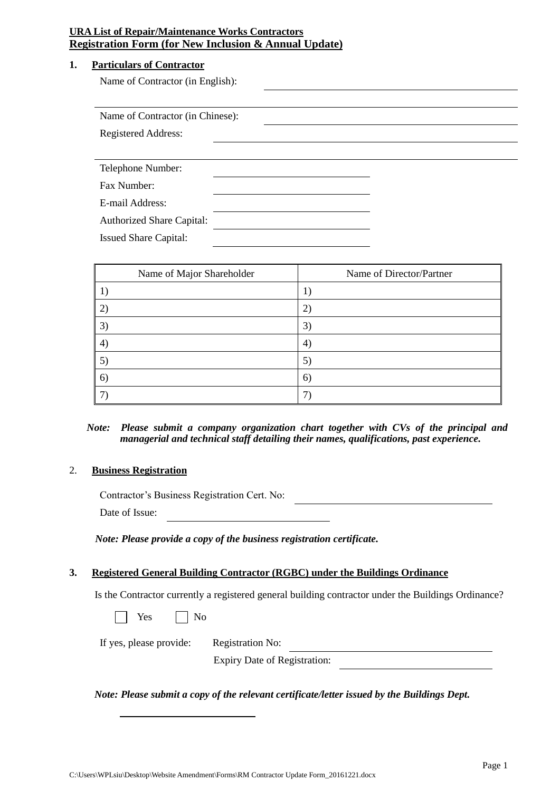#### **1. Particulars of Contractor**

Name of Contractor (in English):

| Name of Contractor (in Chinese): |  |  |  |  |
|----------------------------------|--|--|--|--|
| Registered Address:              |  |  |  |  |
|                                  |  |  |  |  |
| Telephone Number:                |  |  |  |  |
| Fax Number:                      |  |  |  |  |
| E-mail Address:                  |  |  |  |  |
| <b>Authorized Share Capital:</b> |  |  |  |  |
| <b>Issued Share Capital:</b>     |  |  |  |  |

| Name of Major Shareholder | Name of Director/Partner |
|---------------------------|--------------------------|
|                           |                          |
| $\mathcal{Z}$             | 2)                       |
| 3)                        | 3)                       |
| 4)                        | $\left( 4\right)$        |
| 5)                        | 5)                       |
| 6)                        | 6)                       |
|                           |                          |

## *Note: Please submit a company organization chart together with CVs of the principal and managerial and technical staff detailing their names, qualifications, past experience.*

## 2. **Business Registration**

Contractor's Business Registration Cert. No:

Date of Issue:

 *Note: Please provide a copy of the business registration certificate.*

#### **3. Registered General Building Contractor (RGBC) under the Buildings Ordinance**

Is the Contractor currently a registered general building contractor under the Buildings Ordinance?

Yes No

If yes, please provide: Registration No:

Expiry Date of Registration:

*Note: Please submit a copy of the relevant certificate/letter issued by the Buildings Dept.*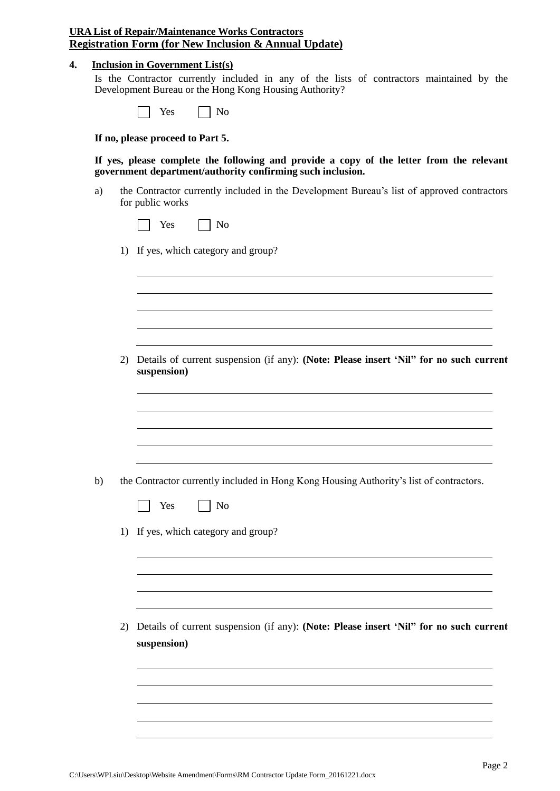#### **4. Inclusion in Government List(s)**

Is the Contractor currently included in any of the lists of contractors maintained by the Development Bureau or the Hong Kong Housing Authority?

| res | Nο |  |
|-----|----|--|
|-----|----|--|

**If no, please proceed to Part 5.**

**If yes, please complete the following and provide a copy of the letter from the relevant government department/authority confirming such inclusion.**

- a) the Contractor currently included in the Development Bureau's list of approved contractors for public works
	- $\Box$  Yes  $\Box$  No
	- 1) If yes, which category and group?

2) Details of current suspension (if any): **(Note: Please insert 'Nil" for no such current suspension)**

- b) the Contractor currently included in Hong Kong Housing Authority's list of contractors.
	- Yes No  $\Box$
	- 1) If yes, which category and group?

2) Details of current suspension (if any): **(Note: Please insert 'Nil" for no such current suspension)**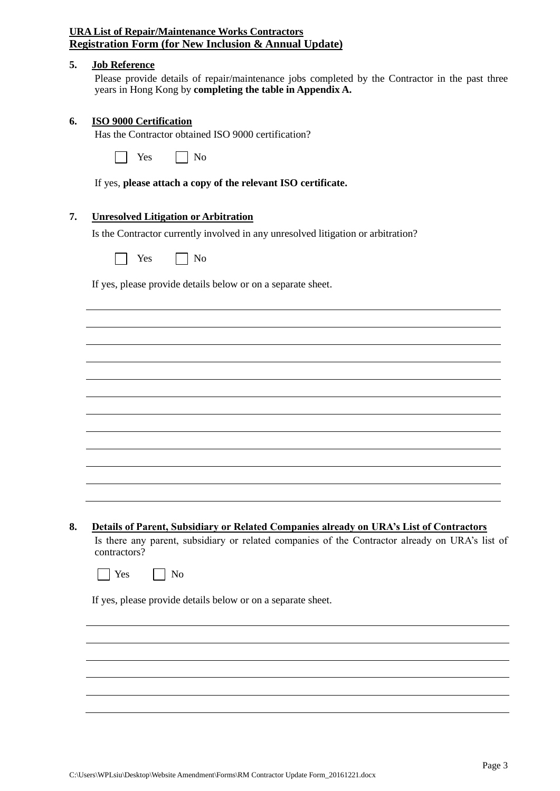#### **5. Job Reference**

Please provide details of repair/maintenance jobs completed by the Contractor in the past three years in Hong Kong by **completing the table in Appendix A.**

#### **6. ISO 9000 Certification**

Has the Contractor obtained ISO 9000 certification?

If yes, **please attach a copy of the relevant ISO certificate.**

#### **7. Unresolved Litigation or Arbitration**

Is the Contractor currently involved in any unresolved litigation or arbitration?

 $Yes \qquad \Box No$ 

If yes, please provide details below or on a separate sheet.

**8. Details of Parent, Subsidiary or Related Companies already on URA's List of Contractors**

Is there any parent, subsidiary or related companies of the Contractor already on URA's list of contractors?

|  | Yes |  | No |
|--|-----|--|----|
|--|-----|--|----|

If yes, please provide details below or on a separate sheet.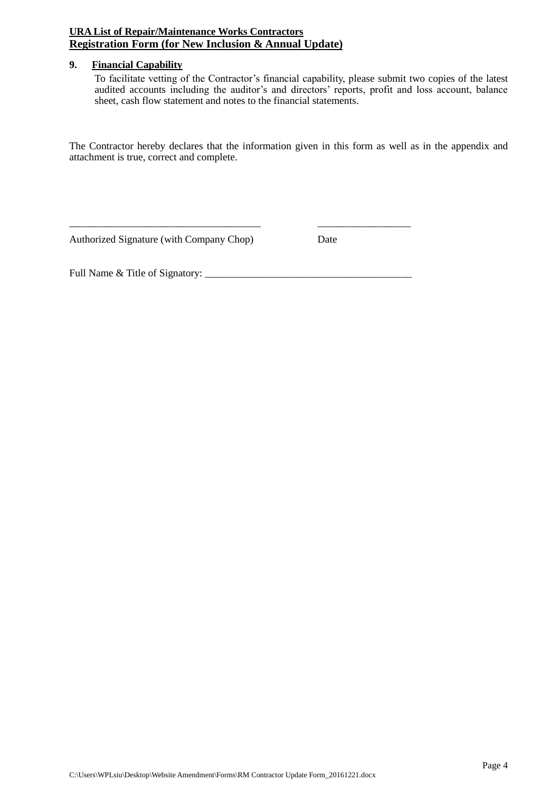## **9. Financial Capability**

To facilitate vetting of the Contractor's financial capability, please submit two copies of the latest audited accounts including the auditor's and directors' reports, profit and loss account, balance sheet, cash flow statement and notes to the financial statements.

The Contractor hereby declares that the information given in this form as well as in the appendix and attachment is true, correct and complete.

\_\_\_\_\_\_\_\_\_\_\_\_\_\_\_\_\_\_\_\_\_\_\_\_\_\_\_\_\_\_\_\_\_\_\_\_\_ \_\_\_\_\_\_\_\_\_\_\_\_\_\_\_\_\_\_

Authorized Signature (with Company Chop) Date

Full Name & Title of Signatory: